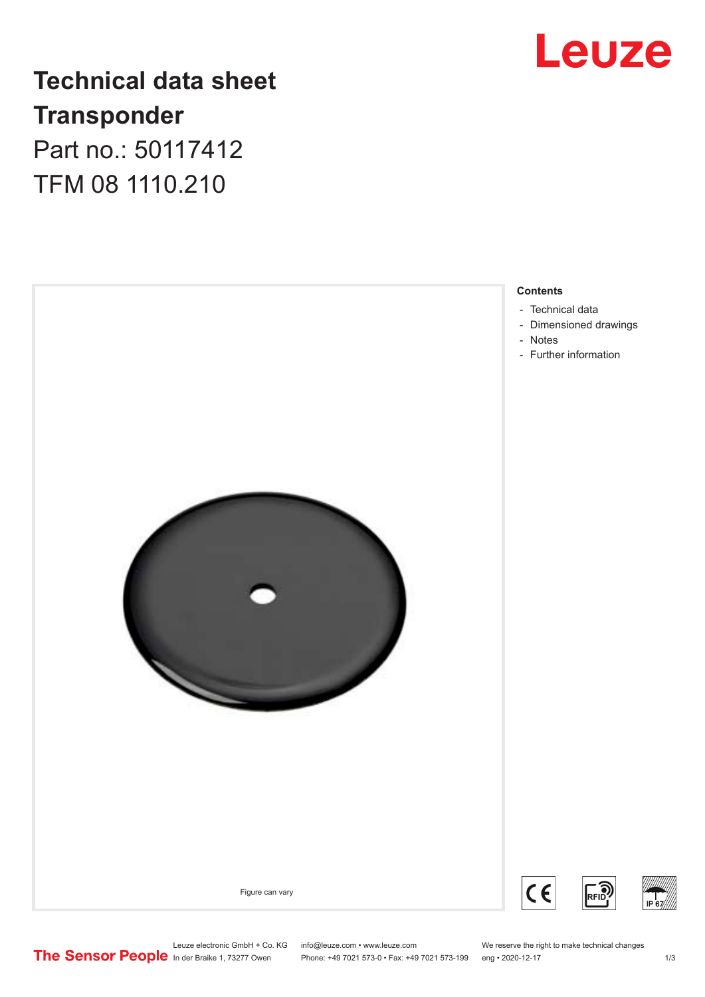

## **Technical data sheet Transponder** Part no.: 50117412

TFM 08 1110.210



Leuze electronic GmbH + Co. KG info@leuze.com • www.leuze.com We reserve the right to make technical changes<br>
The Sensor People in der Braike 1, 73277 Owen Phone: +49 7021 573-0 • Fax: +49 7021 573-199 eng • 2020-12-17

Phone: +49 7021 573-0 • Fax: +49 7021 573-199 eng • 2020-12-17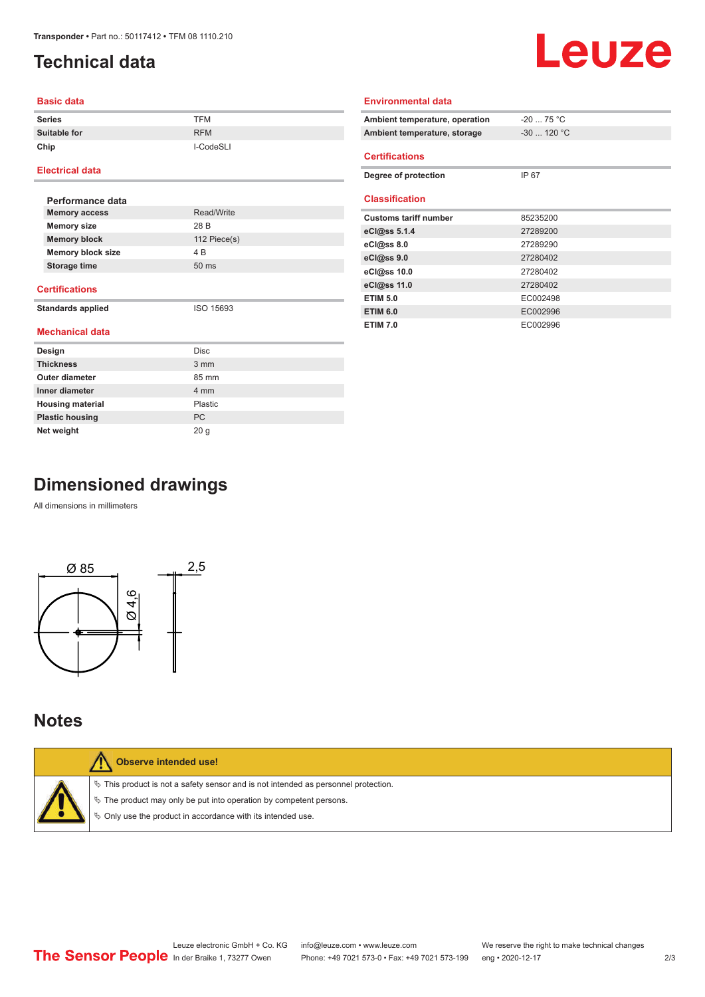## <span id="page-1-0"></span>**Technical data**

# Leuze

#### **Basic data**

| <b>Series</b>       | <b>TFM</b> |
|---------------------|------------|
| <b>Suitable for</b> | <b>RFM</b> |
| Chip                | I-CodeSLI  |

#### **Electrical data**

| Performance data         |                 |  |
|--------------------------|-----------------|--|
| <b>Memory access</b>     | Read/Write      |  |
| <b>Memory size</b>       | 28 B            |  |
| <b>Memory block</b>      | 112 $Piece(s)$  |  |
| <b>Memory block size</b> | 4 B             |  |
| Storage time             | $50 \text{ ms}$ |  |
|                          |                 |  |

#### **Certifications**

**Standards applied** ISO 15693

#### **Mechanical data**

| Design                  | <b>Disc</b> |
|-------------------------|-------------|
| <b>Thickness</b>        | 3 mm        |
| Outer diameter          | 85 mm       |
| Inner diameter          | 4 mm        |
| <b>Housing material</b> | Plastic     |
| <b>Plastic housing</b>  | <b>PC</b>   |
| Net weight              | 20q         |

| Ambient temperature, operation | $-20$ 75 °C  |
|--------------------------------|--------------|
| Ambient temperature, storage   | $-30$ 120 °C |
|                                |              |
| <b>Certifications</b>          |              |
| Degree of protection           | IP 67        |
|                                |              |
| <b>Classification</b>          |              |
| <b>Customs tariff number</b>   | 85235200     |
| eCl@ss $5.1.4$                 | 27289200     |
| eCl@ss 8.0                     | 27289290     |
| eCl@ss 9.0                     | 27280402     |
| eCl@ss 10.0                    | 27280402     |
| eCl@ss 11.0                    | 27280402     |
| <b>ETIM 5.0</b>                | EC002498     |
| <b>ETIM 6.0</b>                | EC002996     |
| <b>ETIM 7.0</b>                | EC002996     |

**Environmental data**

## **Dimensioned drawings**

All dimensions in millimeters



### **Notes**

| <b>Observe intended use!</b>                                                                                                                                                                                                  |
|-------------------------------------------------------------------------------------------------------------------------------------------------------------------------------------------------------------------------------|
| $\%$ This product is not a safety sensor and is not intended as personnel protection.<br>$\%$ The product may only be put into operation by competent persons.<br>♦ Only use the product in accordance with its intended use. |